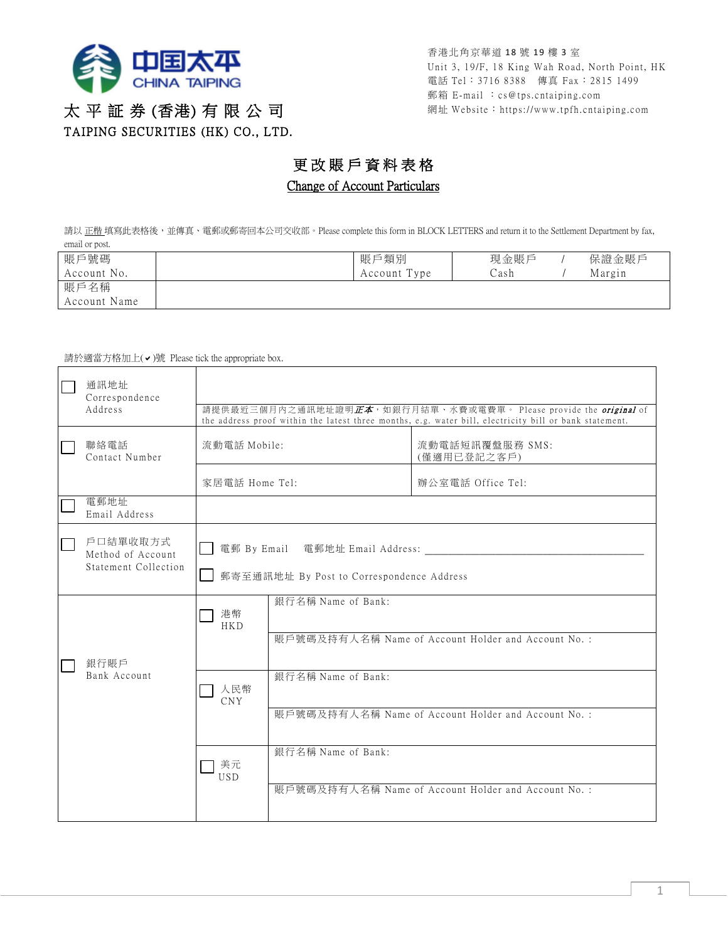

TAIPING SECURITIES (HK) CO., LTD.

香港北角京華道 18號 19樓 3室 Unit 3, 19/F, 18 King Wah Road, North Point, HK 電話 Tel:3716 8388 傳真 Fax:2815 1499 郵箱 E-mail : cs@tps.cntaiping.com 網址 Website:https://www.tpfh.cntaiping.com

## 更 改 賬 戶 資 料 表 格

## Change of Account Particulars

請以正楷填寫此表格後,並傳真、電郵或郵寄回本公司交收部。Please complete this form in BLOCK LETTERS and return it to the Settlement Department by fax, email or post.

| 賬戶號碼<br>Account No.  | 賬戶類別<br>Account Type | 現金賬戶<br>Cash | 保證金賬戶<br>Margin |
|----------------------|----------------------|--------------|-----------------|
| 賬戶名稱<br>Account Name |                      |              |                 |

## 請於適當方格加上( $\vee$ )號 Please tick the appropriate box.

|  | 通訊地址<br>Correspondence<br>Address                     | 請提供最近三個月內之通訊地址證明 <i>正本</i> ,如銀行月結單、水費或電費單。 Please provide the <i>original</i> of<br>the address proof within the latest three months, e.g. water bill, electricity bill or bank statement. |                                                                                                                                                      |                                |  |
|--|-------------------------------------------------------|--------------------------------------------------------------------------------------------------------------------------------------------------------------------------------------------|------------------------------------------------------------------------------------------------------------------------------------------------------|--------------------------------|--|
|  | 聯絡電話<br>Contact Number                                | 流動電話 Mobile:                                                                                                                                                                               |                                                                                                                                                      | 流動電話短訊覆盤服務 SMS:<br>(僅適用已登記之客戶) |  |
|  |                                                       | 家居雷話 Home Tel:                                                                                                                                                                             |                                                                                                                                                      | 辦公室電話 Office Tel:              |  |
|  | 電郵地址<br>Email Address                                 |                                                                                                                                                                                            |                                                                                                                                                      |                                |  |
|  | 戶口結單收取方式<br>Method of Account<br>Statement Collection | 電郵 By Email - 電郵地址 Email Address:<br>郵寄至通訊地址 By Post to Correspondence Address                                                                                                             |                                                                                                                                                      |                                |  |
|  | 銀行賬戶<br>Bank Account                                  | 港幣<br>HKD                                                                                                                                                                                  | 銀行名稱 Name of Bank:<br>賬戶號碼及持有人名稱 Name of Account Holder and Account No.:                                                                             |                                |  |
|  |                                                       | 人民幣<br><b>CNY</b>                                                                                                                                                                          | 銀行名稱 Name of Bank:<br>賬戶號碼及持有人名稱 Name of Account Holder and Account No.:<br>銀行名稱 Name of Bank:<br>賬戶號碼及持有人名稱 Name of Account Holder and Account No.: |                                |  |
|  |                                                       | 美元<br><b>USD</b>                                                                                                                                                                           |                                                                                                                                                      |                                |  |